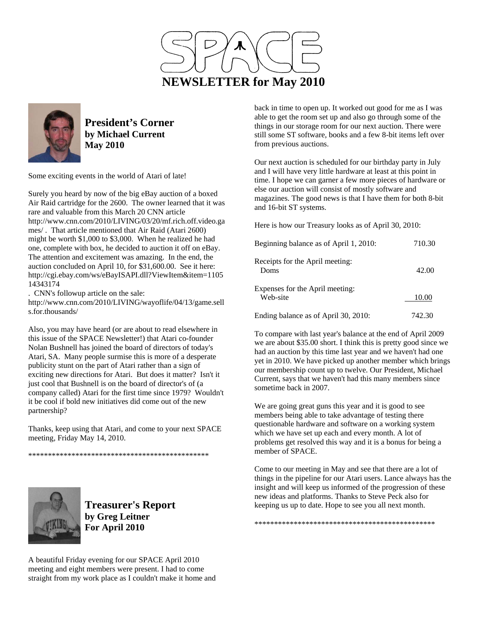



**President's Corner by Michael Current May 2010**

Some exciting events in the world of Atari of late!

Surely you heard by now of the big eBay auction of a boxed Air Raid cartridge for the 2600. The owner learned that it was rare and valuable from this March 20 CNN article http://www.cnn.com/2010/LIVING/03/20/mf.rich.off.video.ga mes/ . That article mentioned that Air Raid (Atari 2600) might be worth \$1,000 to \$3,000. When he realized he had one, complete with box, he decided to auction it off on eBay. The attention and excitement was amazing. In the end, the auction concluded on April 10, for \$31,600.00. See it here: http://cgi.ebay.com/ws/eBayISAPI.dll?ViewItem&item=1105 14343174

. CNN's followup article on the sale:

http://www.cnn.com/2010/LIVING/wayoflife/04/13/game.sell s.for.thousands/

Also, you may have heard (or are about to read elsewhere in this issue of the SPACE Newsletter!) that Atari co-founder Nolan Bushnell has joined the board of directors of today's Atari, SA. Many people surmise this is more of a desperate publicity stunt on the part of Atari rather than a sign of exciting new directions for Atari. But does it matter? Isn't it just cool that Bushnell is on the board of director's of (a company called) Atari for the first time since 1979? Wouldn't it be cool if bold new initiatives did come out of the new partnership?

Thanks, keep using that Atari, and come to your next SPACE meeting, Friday May 14, 2010.

\*\*\*\*\*\*\*\*\*\*\*\*\*\*\*\*\*\*\*\*\*\*\*\*\*\*\*\*\*\*\*\*\*\*\*\*\*\*\*\*\*\*\*\*\*\*



**Treasurer's Report by Greg Leitner For April 2010** 

A beautiful Friday evening for our SPACE April 2010 meeting and eight members were present. I had to come straight from my work place as I couldn't make it home and

back in time to open up. It worked out good for me as I was able to get the room set up and also go through some of the things in our storage room for our next auction. There were still some ST software, books and a few 8-bit items left over from previous auctions.

Our next auction is scheduled for our birthday party in July and I will have very little hardware at least at this point in time. I hope we can garner a few more pieces of hardware or else our auction will consist of mostly software and magazines. The good news is that I have them for both 8-bit and 16-bit ST systems.

Here is how our Treasury looks as of April 30, 2010:

| Beginning balance as of April 1, 2010:      | 710.30 |
|---------------------------------------------|--------|
| Receipts for the April meeting:<br>Doms     | 42.00  |
| Expenses for the April meeting:<br>Web-site | 10.00  |
| Ending balance as of April 30, 2010:        | 742.30 |

To compare with last year's balance at the end of April 2009 we are about \$35.00 short. I think this is pretty good since we had an auction by this time last year and we haven't had one yet in 2010. We have picked up another member which brings our membership count up to twelve. Our President, Michael Current, says that we haven't had this many members since sometime back in 2007.

We are going great guns this year and it is good to see members being able to take advantage of testing there questionable hardware and software on a working system which we have set up each and every month. A lot of problems get resolved this way and it is a bonus for being a member of SPACE.

Come to our meeting in May and see that there are a lot of things in the pipeline for our Atari users. Lance always has the insight and will keep us informed of the progression of these new ideas and platforms. Thanks to Steve Peck also for keeping us up to date. Hope to see you all next month.

\*\*\*\*\*\*\*\*\*\*\*\*\*\*\*\*\*\*\*\*\*\*\*\*\*\*\*\*\*\*\*\*\*\*\*\*\*\*\*\*\*\*\*\*\*\*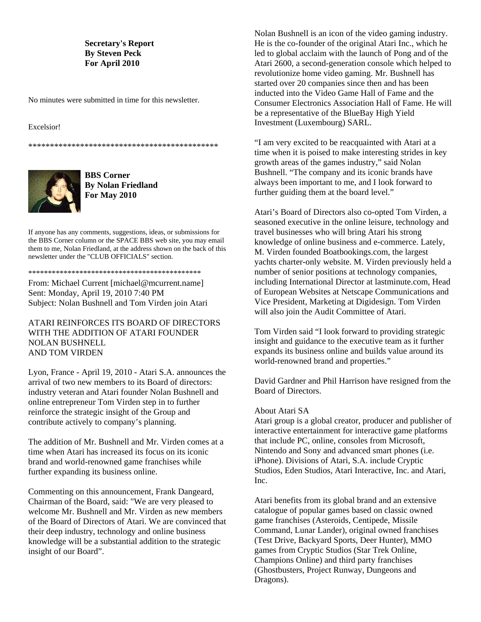# **Secretary's Report By Steven Peck For April 2010**

No minutes were submitted in time for this newsletter.

#### Excelsior!

\*\*\*\*\*\*\*\*\*\*\*\*\*\*\*\*\*\*\*\*\*\*\*\*\*\*\*\*\*\*\*\*\*\*\*\*\*\*\*\*\*\*\*\*



**BBS Corner By Nolan Friedland For May 2010** 

If anyone has any comments, suggestions, ideas, or submissions for the BBS Corner column or the SPACE BBS web site, you may email them to me, Nolan Friedland, at the address shown on the back of this newsletter under the "CLUB OFFICIALS" section.

\*\*\*\*\*\*\*\*\*\*\*\*\*\*\*\*\*\*\*\*\*\*\*\*\*\*\*\*\*\*\*\*\*\*\*\*\*\*\*\*\*\*\*\*

From: Michael Current [michael@mcurrent.name] Sent: Monday, April 19, 2010 7:40 PM Subject: Nolan Bushnell and Tom Virden join Atari

# ATARI REINFORCES ITS BOARD OF DIRECTORS WITH THE ADDITION OF ATARI FOUNDER NOLAN BUSHNELL AND TOM VIRDEN

Lyon, France - April 19, 2010 - Atari S.A. announces the arrival of two new members to its Board of directors: industry veteran and Atari founder Nolan Bushnell and online entrepreneur Tom Virden step in to further reinforce the strategic insight of the Group and contribute actively to company's planning.

The addition of Mr. Bushnell and Mr. Virden comes at a time when Atari has increased its focus on its iconic brand and world-renowned game franchises while further expanding its business online.

Commenting on this announcement, Frank Dangeard, Chairman of the Board, said: "We are very pleased to welcome Mr. Bushnell and Mr. Virden as new members of the Board of Directors of Atari. We are convinced that their deep industry, technology and online business knowledge will be a substantial addition to the strategic insight of our Board".

Nolan Bushnell is an icon of the video gaming industry. He is the co-founder of the original Atari Inc., which he led to global acclaim with the launch of Pong and of the Atari 2600, a second-generation console which helped to revolutionize home video gaming. Mr. Bushnell has started over 20 companies since then and has been inducted into the Video Game Hall of Fame and the Consumer Electronics Association Hall of Fame. He will be a representative of the BlueBay High Yield Investment (Luxembourg) SARL.

"I am very excited to be reacquainted with Atari at a time when it is poised to make interesting strides in key growth areas of the games industry," said Nolan Bushnell. "The company and its iconic brands have always been important to me, and I look forward to further guiding them at the board level."

Atari's Board of Directors also co-opted Tom Virden, a seasoned executive in the online leisure, technology and travel businesses who will bring Atari his strong knowledge of online business and e-commerce. Lately, M. Virden founded Boatbookings.com, the largest yachts charter-only website. M. Virden previously held a number of senior positions at technology companies, including International Director at lastminute.com, Head of European Websites at Netscape Communications and Vice President, Marketing at Digidesign. Tom Virden will also join the Audit Committee of Atari.

Tom Virden said "I look forward to providing strategic insight and guidance to the executive team as it further expands its business online and builds value around its world-renowned brand and properties."

David Gardner and Phil Harrison have resigned from the Board of Directors.

### About Atari SA

Atari group is a global creator, producer and publisher of interactive entertainment for interactive game platforms that include PC, online, consoles from Microsoft, Nintendo and Sony and advanced smart phones (i.e. iPhone). Divisions of Atari, S.A. include Cryptic Studios, Eden Studios, Atari Interactive, Inc. and Atari, Inc.

Atari benefits from its global brand and an extensive catalogue of popular games based on classic owned game franchises (Asteroids, Centipede, Missile Command, Lunar Lander), original owned franchises (Test Drive, Backyard Sports, Deer Hunter), MMO games from Cryptic Studios (Star Trek Online, Champions Online) and third party franchises (Ghostbusters, Project Runway, Dungeons and Dragons).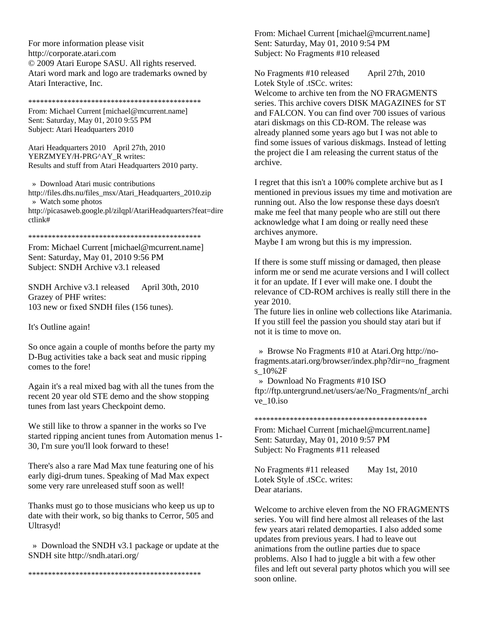For more information please visit http://corporate.atari.com © 2009 Atari Europe SASU. All rights reserved. Atari word mark and logo are trademarks owned by Atari Interactive, Inc.

\*\*\*\*\*\*\*\*\*\*\*\*\*\*\*\*\*\*\*\*\*\*\*\*\*\*\*\*\*\*\*\*\*\*\*\*\*\*\*\*\*\*\*\*

From: Michael Current [michael@mcurrent.name] Sent: Saturday, May 01, 2010 9:55 PM Subject: Atari Headquarters 2010

Atari Headquarters 2010 April 27th, 2010 YERZMYEY/H-PRG^AY\_R writes: Results and stuff from Atari Headquarters 2010 party.

 » Download Atari music contributions http://files.dhs.nu/files\_msx/Atari\_Headquarters\_2010.zip » Watch some photos http://picasaweb.google.pl/zilqpl/AtariHeadquarters?feat=dire ctlink#

\*\*\*\*\*\*\*\*\*\*\*\*\*\*\*\*\*\*\*\*\*\*\*\*\*\*\*\*\*\*\*\*\*\*\*\*\*\*\*\*\*\*\*\*

From: Michael Current [michael@mcurrent.name] Sent: Saturday, May 01, 2010 9:56 PM Subject: SNDH Archive v3.1 released

SNDH Archive v3.1 released April 30th, 2010 Grazey of PHF writes: 103 new or fixed SNDH files (156 tunes).

It's Outline again!

So once again a couple of months before the party my D-Bug activities take a back seat and music ripping comes to the fore!

Again it's a real mixed bag with all the tunes from the recent 20 year old STE demo and the show stopping tunes from last years Checkpoint demo.

We still like to throw a spanner in the works so I've started ripping ancient tunes from Automation menus 1- 30, I'm sure you'll look forward to these!

There's also a rare Mad Max tune featuring one of his early digi-drum tunes. Speaking of Mad Max expect some very rare unreleased stuff soon as well!

Thanks must go to those musicians who keep us up to date with their work, so big thanks to Cerror, 505 and Ultrasyd!

 » Download the SNDH v3.1 package or update at the SNDH site http://sndh.atari.org/

\*\*\*\*\*\*\*\*\*\*\*\*\*\*\*\*\*\*\*\*\*\*\*\*\*\*\*\*\*\*\*\*\*\*\*\*\*\*\*\*\*\*\*\*

From: Michael Current [michael@mcurrent.name] Sent: Saturday, May 01, 2010 9:54 PM Subject: No Fragments #10 released

No Fragments #10 released April 27th, 2010 Lotek Style of .tSCc. writes:

Welcome to archive ten from the NO FRAGMENTS series. This archive covers DISK MAGAZINES for ST and FALCON. You can find over 700 issues of various atari diskmags on this CD-ROM. The release was already planned some years ago but I was not able to find some issues of various diskmags. Instead of letting the project die I am releasing the current status of the archive.

I regret that this isn't a 100% complete archive but as I mentioned in previous issues my time and motivation are running out. Also the low response these days doesn't make me feel that many people who are still out there acknowledge what I am doing or really need these archives anymore.

Maybe I am wrong but this is my impression.

If there is some stuff missing or damaged, then please inform me or send me acurate versions and I will collect it for an update. If I ever will make one. I doubt the relevance of CD-ROM archives is really still there in the year 2010.

The future lies in online web collections like Atarimania. If you still feel the passion you should stay atari but if not it is time to move on.

 » Browse No Fragments #10 at Atari.Org http://nofragments.atari.org/browser/index.php?dir=no\_fragment s\_10%2F

» Download No Fragments #10 ISO

ftp://ftp.untergrund.net/users/ae/No\_Fragments/nf\_archi ve\_10.iso

\*\*\*\*\*\*\*\*\*\*\*\*\*\*\*\*\*\*\*\*\*\*\*\*\*\*\*\*\*\*\*\*\*\*\*\*\*\*\*\*\*\*\*\*

From: Michael Current [michael@mcurrent.name] Sent: Saturday, May 01, 2010 9:57 PM Subject: No Fragments #11 released

No Fragments #11 released May 1st, 2010 Lotek Style of .tSCc. writes: Dear atarians.

Welcome to archive eleven from the NO FRAGMENTS series. You will find here almost all releases of the last few years atari related demoparties. I also added some updates from previous years. I had to leave out animations from the outline parties due to space problems. Also I had to juggle a bit with a few other files and left out several party photos which you will see soon online.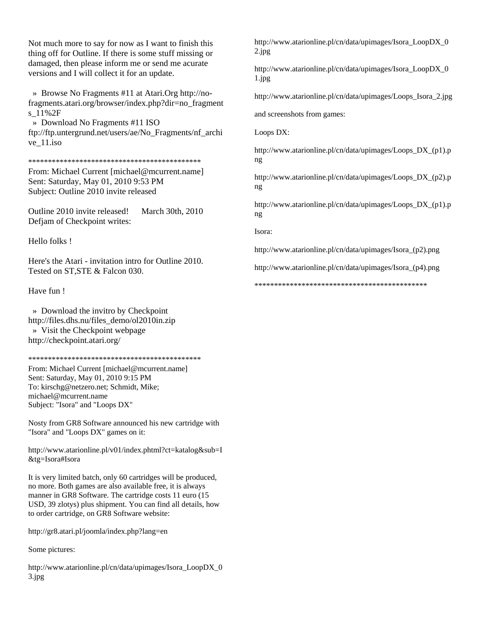Not much more to say for now as I want to finish this thing off for Outline. If there is some stuff missing or damaged, then please inform me or send me acurate versions and I will collect it for an update.

 » Browse No Fragments #11 at Atari.Org http://nofragments.atari.org/browser/index.php?dir=no\_fragment s\_11%2F

 » Download No Fragments #11 ISO ftp://ftp.untergrund.net/users/ae/No\_Fragments/nf\_archi ve\_11.iso

#### \*\*\*\*\*\*\*\*\*\*\*\*\*\*\*\*\*\*\*\*\*\*\*\*\*\*\*\*\*\*\*\*\*\*\*\*\*\*\*\*\*\*\*\*

From: Michael Current [michael@mcurrent.name] Sent: Saturday, May 01, 2010 9:53 PM Subject: Outline 2010 invite released

Outline 2010 invite released! March 30th, 2010 Defjam of Checkpoint writes:

Hello folks !

Here's the Atari - invitation intro for Outline 2010. Tested on ST,STE & Falcon 030.

Have fun !

 » Download the invitro by Checkpoint http://files.dhs.nu/files\_demo/ol2010in.zip » Visit the Checkpoint webpage http://checkpoint.atari.org/

\*\*\*\*\*\*\*\*\*\*\*\*\*\*\*\*\*\*\*\*\*\*\*\*\*\*\*\*\*\*\*\*\*\*\*\*\*\*\*\*\*\*\*\*

From: Michael Current [michael@mcurrent.name] Sent: Saturday, May 01, 2010 9:15 PM To: kirschg@netzero.net; Schmidt, Mike; michael@mcurrent.name Subject: "Isora" and "Loops DX"

Nosty from GR8 Software announced his new cartridge with "Isora" and "Loops DX" games on it:

http://www.atarionline.pl/v01/index.phtml?ct=katalog&sub=I &tg=Isora#Isora

It is very limited batch, only 60 cartridges will be produced, no more. Both games are also available free, it is always manner in GR8 Software. The cartridge costs 11 euro (15 USD, 39 zlotys) plus shipment. You can find all details, how to order cartridge, on GR8 Software website:

http://gr8.atari.pl/joomla/index.php?lang=en

Some pictures:

http://www.atarionline.pl/cn/data/upimages/Isora\_LoopDX\_0 3.jpg

http://www.atarionline.pl/cn/data/upimages/Isora\_LoopDX\_0 2.jpg

http://www.atarionline.pl/cn/data/upimages/Isora\_LoopDX\_0 1.jpg

http://www.atarionline.pl/cn/data/upimages/Loops\_Isora\_2.jpg

and screenshots from games:

Loops DX:

http://www.atarionline.pl/cn/data/upimages/Loops\_DX\_(p1).p ng

http://www.atarionline.pl/cn/data/upimages/Loops\_DX\_(p2).p ng

http://www.atarionline.pl/cn/data/upimages/Loops\_DX\_(p1).p ng

Isora:

http://www.atarionline.pl/cn/data/upimages/Isora\_(p2).png

http://www.atarionline.pl/cn/data/upimages/Isora\_(p4).png

\*\*\*\*\*\*\*\*\*\*\*\*\*\*\*\*\*\*\*\*\*\*\*\*\*\*\*\*\*\*\*\*\*\*\*\*\*\*\*\*\*\*\*\*